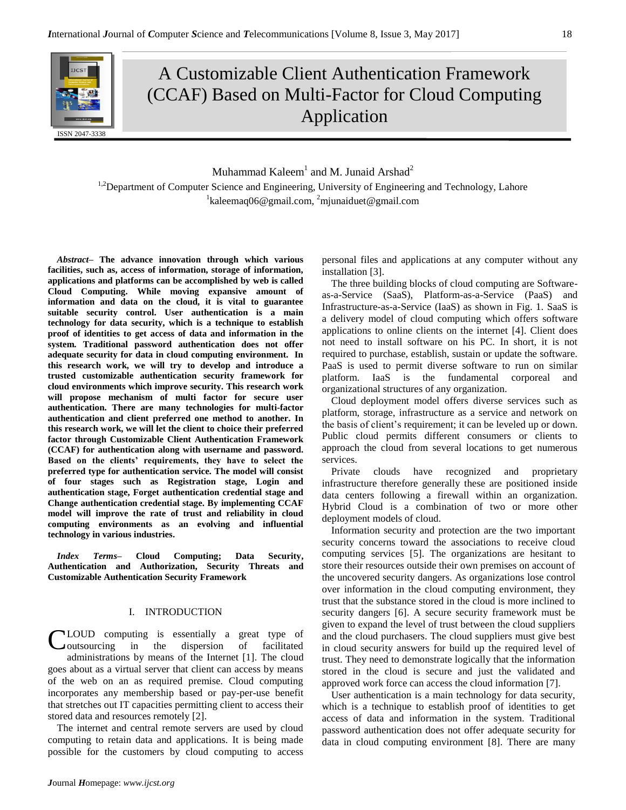# A Customizable Client Authentication Framework (CCAF) Based on Multi-Factor for Cloud Computing Application

Muhammad Kaleem $^1$  and M. Junaid Arshad $^2$ <sup>1,2</sup>Department of Computer Science and Engineering, University of Engineering and Technology, Lahore <sup>1</sup>kaleemaq06@gmail.com, <sup>2</sup>mjunaiduet@gmail.com

*Abstract–* **The advance innovation through which various facilities, such as, access of information, storage of information, applications and platforms can be accomplished by web is called Cloud Computing. While moving expansive amount of information and data on the cloud, it is vital to guarantee suitable security control. User authentication is a main technology for data security, which is a technique to establish proof of identities to get access of data and information in the system. Traditional password authentication does not offer adequate security for data in cloud computing environment. In this research work, we will try to develop and introduce a trusted customizable authentication security framework for cloud environments which improve security. This research work will propose mechanism of multi factor for secure user authentication. There are many technologies for multi-factor authentication and client preferred one method to another. In this research work, we will let the client to choice their preferred factor through Customizable Client Authentication Framework (CCAF) for authentication along with username and password. Based on the clients' requirements, they have to select the preferred type for authentication service. The model will consist of four stages such as Registration stage, Login and authentication stage, Forget authentication credential stage and Change authentication credential stage. By implementing CCAF model will improve the rate of trust and reliability in cloud computing environments as an evolving and influential technology in various industries.**

*Index Terms–* **Cloud Computing; Data Security, Authentication and Authorization, Security Threats and Customizable Authentication Security Framework**

#### I. INTRODUCTION

CLOUD computing is essentially a great type of coutsourcing in the dispersion of facilitated outsourcing in the dispersion of facilitated administrations by means of the Internet [1]. The cloud goes about as a virtual server that client can access by means of the web on an as required premise. Cloud computing incorporates any membership based or pay-per-use benefit that stretches out IT capacities permitting client to access their stored data and resources remotely [2].

The internet and central remote servers are used by cloud computing to retain data and applications. It is being made possible for the customers by cloud computing to access

installation [3]. The three building blocks of cloud computing are Softwareas-a-Service (SaaS), Platform-as-a-Service (PaaS) and

Infrastructure-as-a-Service (IaaS) as shown in Fig. 1. SaaS is a delivery model of cloud computing which offers software applications to online clients on the internet [4]. Client does not need to install software on his PC. In short, it is not required to purchase, establish, sustain or update the software. PaaS is used to permit diverse software to run on similar platform. IaaS is the fundamental corporeal and organizational structures of any organization.

personal files and applications at any computer without any

Cloud deployment model offers diverse services such as platform, storage, infrastructure as a service and network on the basis of client's requirement; it can be leveled up or down. Public cloud permits different consumers or clients to approach the cloud from several locations to get numerous services.

Private clouds have recognized and proprietary infrastructure therefore generally these are positioned inside data centers following a firewall within an organization. Hybrid Cloud is a combination of two or more other deployment models of cloud.

Information security and protection are the two important security concerns toward the associations to receive cloud computing services [5]. The organizations are hesitant to store their resources outside their own premises on account of the uncovered security dangers. As organizations lose control over information in the cloud computing environment, they trust that the substance stored in the cloud is more inclined to security dangers [6]. A secure security framework must be given to expand the level of trust between the cloud suppliers and the cloud purchasers. The cloud suppliers must give best in cloud security answers for build up the required level of trust. They need to demonstrate logically that the information stored in the cloud is secure and just the validated and approved work force can access the cloud information [7].

User authentication is a main technology for data security, which is a technique to establish proof of identities to get access of data and information in the system. Traditional password authentication does not offer adequate security for data in cloud computing environment [8]. There are many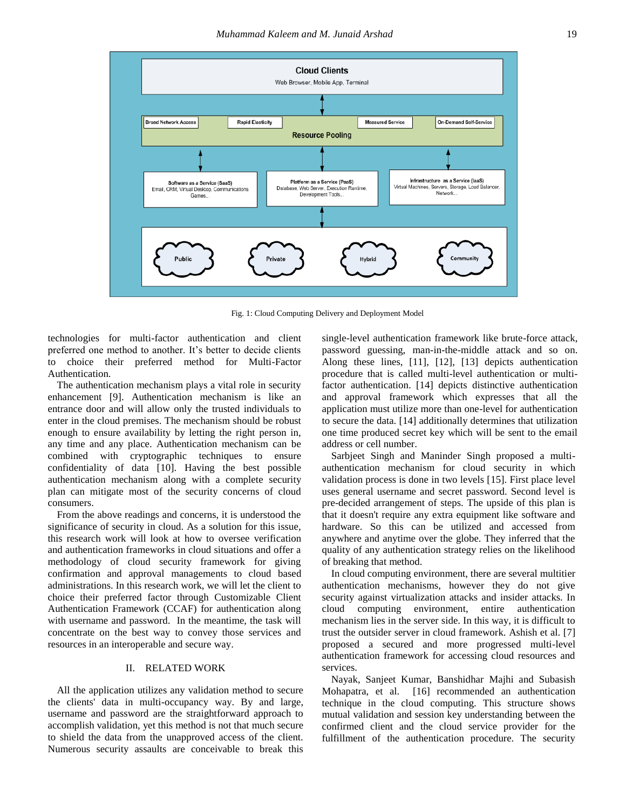

Fig. 1: Cloud Computing Delivery and Deployment Model

technologies for multi-factor authentication and client preferred one method to another. It's better to decide clients to choice their preferred method for Multi-Factor Authentication.

The authentication mechanism plays a vital role in security enhancement [9]. Authentication mechanism is like an entrance door and will allow only the trusted individuals to enter in the cloud premises. The mechanism should be robust enough to ensure availability by letting the right person in, any time and any place. Authentication mechanism can be combined with cryptographic techniques to ensure confidentiality of data [10]. Having the best possible authentication mechanism along with a complete security plan can mitigate most of the security concerns of cloud consumers.

From the above readings and concerns, it is understood the significance of security in cloud. As a solution for this issue, this research work will look at how to oversee verification and authentication frameworks in cloud situations and offer a methodology of cloud security framework for giving confirmation and approval managements to cloud based administrations. In this research work, we will let the client to choice their preferred factor through Customizable Client Authentication Framework (CCAF) for authentication along with username and password. In the meantime, the task will concentrate on the best way to convey those services and resources in an interoperable and secure way.

# II. RELATED WORK

All the application utilizes any validation method to secure the clients' data in multi-occupancy way. By and large, username and password are the straightforward approach to accomplish validation, yet this method is not that much secure to shield the data from the unapproved access of the client. Numerous security assaults are conceivable to break this single-level authentication framework like brute-force attack, password guessing, man-in-the-middle attack and so on. Along these lines, [11], [12], [13] depicts authentication procedure that is called multi-level authentication or multifactor authentication. [14] depicts distinctive authentication and approval framework which expresses that all the application must utilize more than one-level for authentication to secure the data. [14] additionally determines that utilization one time produced secret key which will be sent to the email address or cell number.

Sarbjeet Singh and Maninder Singh proposed a multiauthentication mechanism for cloud security in which validation process is done in two levels [15]. First place level uses general username and secret password. Second level is pre-decided arrangement of steps. The upside of this plan is that it doesn't require any extra equipment like software and hardware. So this can be utilized and accessed from anywhere and anytime over the globe. They inferred that the quality of any authentication strategy relies on the likelihood of breaking that method.

In cloud computing environment, there are several multitier authentication mechanisms, however they do not give security against virtualization attacks and insider attacks. In cloud computing environment, entire authentication mechanism lies in the server side. In this way, it is difficult to trust the outsider server in cloud framework. Ashish et al. [7] proposed a secured and more progressed multi-level authentication framework for accessing cloud resources and services.

Nayak, Sanjeet Kumar, Banshidhar Majhi and Subasish Mohapatra, et al. [16] recommended an authentication technique in the cloud computing. This structure shows mutual validation and session key understanding between the confirmed client and the cloud service provider for the fulfillment of the authentication procedure. The security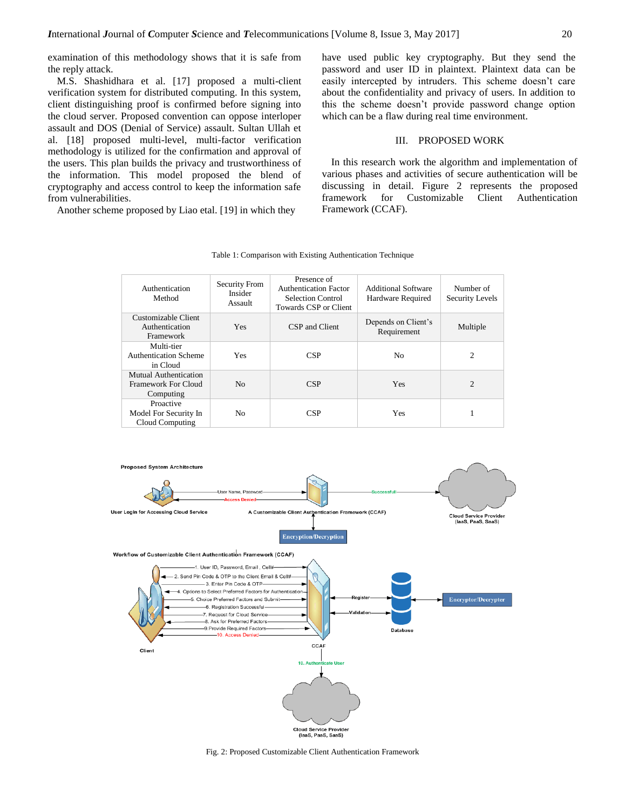examination of this methodology shows that it is safe from the reply attack.

M.S. Shashidhara et al. [17] proposed a multi-client verification system for distributed computing. In this system, client distinguishing proof is confirmed before signing into the cloud server. Proposed convention can oppose interloper assault and DOS (Denial of Service) assault. Sultan Ullah et al. [18] proposed multi-level, multi-factor verification methodology is utilized for the confirmation and approval of the users. This plan builds the privacy and trustworthiness of the information. This model proposed the blend of cryptography and access control to keep the information safe from vulnerabilities.

Another scheme proposed by Liao etal. [19] in which they

have used public key cryptography. But they send the password and user ID in plaintext. Plaintext data can be easily intercepted by intruders. This scheme doesn't care about the confidentiality and privacy of users. In addition to this the scheme doesn't provide password change option which can be a flaw during real time environment.

## III. PROPOSED WORK

In this research work the algorithm and implementation of various phases and activities of secure authentication will be discussing in detail. Figure 2 represents the proposed framework for Customizable Client Authentication Framework (CCAF).

| Table 1: Comparison with Existing Authentication Technique |  |  |
|------------------------------------------------------------|--|--|
|                                                            |  |  |

| Authentication<br>Method                                  | Security From<br>Insider<br>Assault | Presence of<br><b>Authentication Factor</b><br><b>Selection Control</b><br>Towards CSP or Client | <b>Additional Software</b><br>Hardware Required | Number of<br>Security Levels |
|-----------------------------------------------------------|-------------------------------------|--------------------------------------------------------------------------------------------------|-------------------------------------------------|------------------------------|
| Customizable Client<br>Authentication<br>Framework        | <b>Yes</b>                          | CSP and Client                                                                                   | Depends on Client's<br>Requirement              | Multiple                     |
| Multi-tier<br><b>Authentication Scheme</b><br>in Cloud    | <b>Yes</b>                          | CSP                                                                                              | No                                              | $\overline{c}$               |
| Mutual Authentication<br>Framework For Cloud<br>Computing | N <sub>0</sub>                      | <b>CSP</b>                                                                                       | Yes                                             | $\overline{c}$               |
| Proactive<br>Model For Security In<br>Cloud Computing     | No.                                 | <b>CSP</b>                                                                                       | Yes                                             |                              |



Fig. 2: Proposed Customizable Client Authentication Framework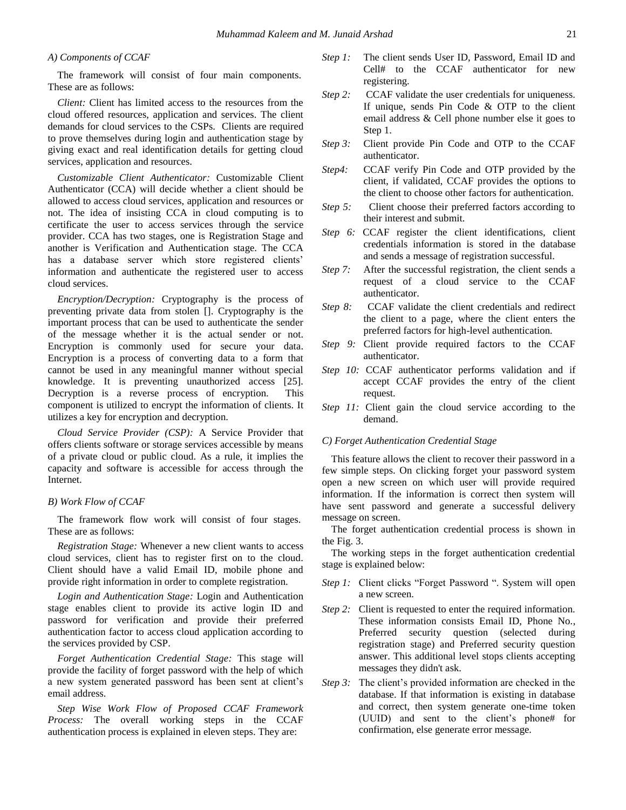## *A) Components of CCAF*

The framework will consist of four main components. These are as follows:

*Client:* Client has limited access to the resources from the cloud offered resources, application and services. The client demands for cloud services to the CSPs. Clients are required to prove themselves during login and authentication stage by giving exact and real identification details for getting cloud services, application and resources.

*Customizable Client Authenticator:* Customizable Client Authenticator (CCA) will decide whether a client should be allowed to access cloud services, application and resources or not. The idea of insisting CCA in cloud computing is to certificate the user to access services through the service provider. CCA has two stages, one is Registration Stage and another is Verification and Authentication stage. The CCA has a database server which store registered clients' information and authenticate the registered user to access cloud services.

*Encryption/Decryption:* Cryptography is the process of preventing private data from stolen []. Cryptography is the important process that can be used to authenticate the sender of the message whether it is the actual sender or not. Encryption is commonly used for secure your data. Encryption is a process of converting data to a form that cannot be used in any meaningful manner without special knowledge. It is preventing unauthorized access [25]. Decryption is a reverse process of encryption. This component is utilized to encrypt the information of clients. It utilizes a key for encryption and decryption.

*Cloud Service Provider (CSP):* A Service Provider that offers clients software or storage services accessible by means of a private cloud or public cloud. As a rule, it implies the capacity and software is accessible for access through the Internet.

#### *B) Work Flow of CCAF*

The framework flow work will consist of four stages. These are as follows:

*Registration Stage:* Whenever a new client wants to access cloud services, client has to register first on to the cloud. Client should have a valid Email ID, mobile phone and provide right information in order to complete registration.

*Login and Authentication Stage:* Login and Authentication stage enables client to provide its active login ID and password for verification and provide their preferred authentication factor to access cloud application according to the services provided by CSP.

*Forget Authentication Credential Stage:* This stage will provide the facility of forget password with the help of which a new system generated password has been sent at client's email address.

*Step Wise Work Flow of Proposed CCAF Framework Process:* The overall working steps in the CCAF authentication process is explained in eleven steps. They are:

- *Step 1:* The client sends User ID, Password, Email ID and Cell# to the CCAF authenticator for new registering.
- *Step 2:* CCAF validate the user credentials for uniqueness. If unique, sends Pin Code & OTP to the client email address & Cell phone number else it goes to Step 1.
- *Step 3:* Client provide Pin Code and OTP to the CCAF authenticator.
- *Step4:* CCAF verify Pin Code and OTP provided by the client, if validated, CCAF provides the options to the client to choose other factors for authentication.
- *Step 5:* Client choose their preferred factors according to their interest and submit.
- *Step 6:* CCAF register the client identifications, client credentials information is stored in the database and sends a message of registration successful.
- *Step 7:* After the successful registration, the client sends a request of a cloud service to the CCAF authenticator.
- *Step 8:* CCAF validate the client credentials and redirect the client to a page, where the client enters the preferred factors for high-level authentication.
- *Step 9:* Client provide required factors to the CCAF authenticator.
- *Step 10:* CCAF authenticator performs validation and if accept CCAF provides the entry of the client request.
- *Step 11:* Client gain the cloud service according to the demand.

#### *C) Forget Authentication Credential Stage*

This feature allows the client to recover their password in a few simple steps. On clicking forget your password system open a new screen on which user will provide required information. If the information is correct then system will have sent password and generate a successful delivery message on screen.

The forget authentication credential process is shown in the Fig. 3.

The working steps in the forget authentication credential stage is explained below:

- *Step 1:* Client clicks "Forget Password ". System will open a new screen.
- *Step 2:* Client is requested to enter the required information. These information consists Email ID, Phone No., Preferred security question (selected during registration stage) and Preferred security question answer. This additional level stops clients accepting messages they didn't ask.
- *Step 3:* The client's provided information are checked in the database. If that information is existing in database and correct, then system generate one-time token (UUID) and sent to the client's phone# for confirmation, else generate error message.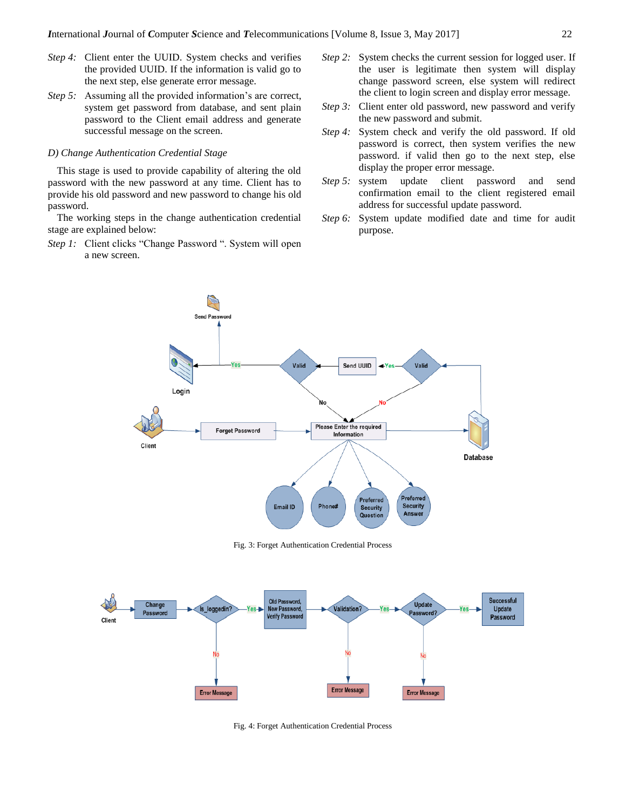- *Step 4:* Client enter the UUID. System checks and verifies the provided UUID. If the information is valid go to the next step, else generate error message.
- *Step 5:* Assuming all the provided information's are correct, system get password from database, and sent plain password to the Client email address and generate successful message on the screen.

#### *D) Change Authentication Credential Stage*

This stage is used to provide capability of altering the old password with the new password at any time. Client has to provide his old password and new password to change his old password.

The working steps in the change authentication credential stage are explained below:

*Step 1:* Client clicks "Change Password ". System will open a new screen.

- *Step 2:* System checks the current session for logged user. If the user is legitimate then system will display change password screen, else system will redirect the client to login screen and display error message.
- *Step 3:* Client enter old password, new password and verify the new password and submit.
- *Step 4:* System check and verify the old password. If old password is correct, then system verifies the new password. if valid then go to the next step, else display the proper error message.
- *Step 5:* system update client password and send confirmation email to the client registered email address for successful update password.
- *Step 6:* System update modified date and time for audit purpose.



Fig. 3: Forget Authentication Credential Process



Fig. 4: Forget Authentication Credential Process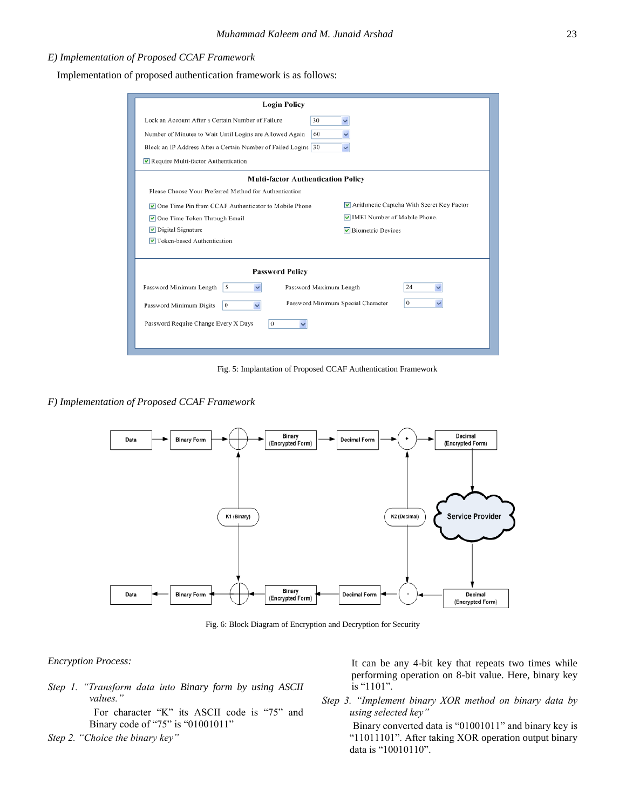# *E) Implementation of Proposed CCAF Framework*

Implementation of proposed authentication framework is as follows:

| <b>Login Policy</b>                                                       |                                           |  |  |  |  |  |  |
|---------------------------------------------------------------------------|-------------------------------------------|--|--|--|--|--|--|
| Lock an Account After a Certain Number of Failure<br>30                   |                                           |  |  |  |  |  |  |
| Number of Minutes to Wait Until Logins are Allowed Again<br>60            |                                           |  |  |  |  |  |  |
| Block an IP Address After a Certain Number of Failed Logins 30            |                                           |  |  |  |  |  |  |
| Require Multi-factor Authentication                                       |                                           |  |  |  |  |  |  |
| <b>Multi-factor Authentication Policy</b>                                 |                                           |  |  |  |  |  |  |
| Please Choose Your Preferred Method for Authentication                    |                                           |  |  |  |  |  |  |
| <b>▽</b> One Time Pin from CCAF Authenticator to Mobile Phone             | Arithmetic Captcha With Secret Key Factor |  |  |  |  |  |  |
| One Time Token Through Email                                              | MEI Number of Mobile Phone.               |  |  |  |  |  |  |
| $\triangleright$ Digital Signature                                        | $\triangledown$ Biometric Devices         |  |  |  |  |  |  |
| Token-based Authentication                                                |                                           |  |  |  |  |  |  |
|                                                                           |                                           |  |  |  |  |  |  |
| <b>Password Policy</b>                                                    |                                           |  |  |  |  |  |  |
| Password Minimum Length<br>Password Maximum Length<br>5                   | 24                                        |  |  |  |  |  |  |
| Password Minimum Special Character<br>Password Minimum Digits<br>$\theta$ | $\bf{0}$                                  |  |  |  |  |  |  |
| Password Require Change Every X Days<br>0                                 |                                           |  |  |  |  |  |  |
|                                                                           |                                           |  |  |  |  |  |  |

Fig. 5: Implantation of Proposed CCAF Authentication Framework

*F) Implementation of Proposed CCAF Framework*



Fig. 6: Block Diagram of Encryption and Decryption for Security

## *Encryption Process:*

*Step 1. "Transform data into Binary form by using ASCII values."*

For character "K" its ASCII code is "75" and Binary code of "75" is "01001011"

*Step 2. "Choice the binary key"*

It can be any 4-bit key that repeats two times while performing operation on 8-bit value. Here, binary key is "1101".

*Step 3. "Implement binary XOR method on binary data by using selected key"* 

> Binary converted data is "01001011" and binary key is "11011101". After taking XOR operation output binary data is "10010110".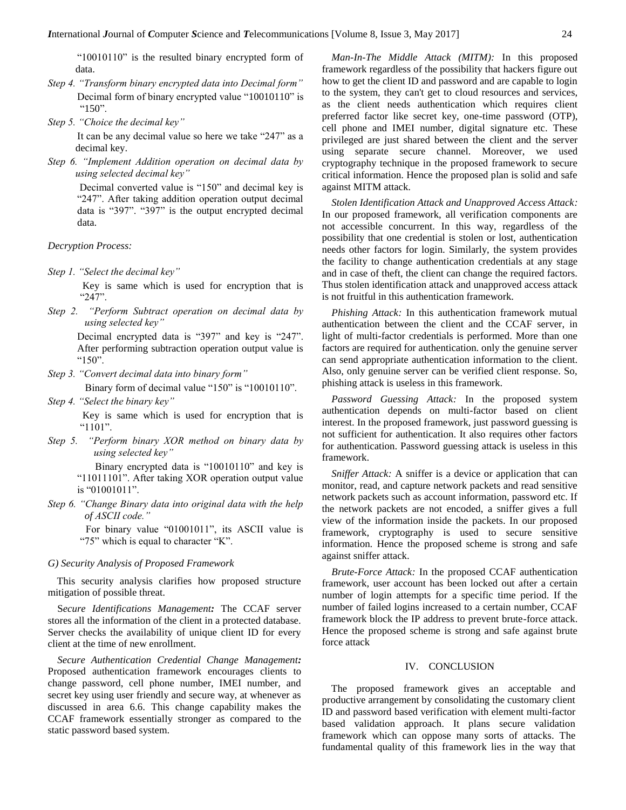"10010110" is the resulted binary encrypted form of data.

- *Step 4. "Transform binary encrypted data into Decimal form"* Decimal form of binary encrypted value "10010110" is " $150$ ".
- *Step 5. "Choice the decimal key"*

It can be any decimal value so here we take "247" as a decimal key.

*Step 6. "Implement Addition operation on decimal data by using selected decimal key"*

> Decimal converted value is "150" and decimal key is "247". After taking addition operation output decimal data is "397". "397" is the output encrypted decimal data.

*Decryption Process:*

*Step 1. "Select the decimal key"* 

 Key is same which is used for encryption that is "247".

*Step 2. "Perform Subtract operation on decimal data by using selected key"* 

> Decimal encrypted data is "397" and key is "247". After performing subtraction operation output value is "150".

*Step 3. "Convert decimal data into binary form"*

Binary form of decimal value "150" is "10010110".

*Step 4. "Select the binary key"* 

 Key is same which is used for encryption that is "1101".

*Step 5. "Perform binary XOR method on binary data by using selected key"* 

> Binary encrypted data is "10010110" and key is "11011101". After taking XOR operation output value is "01001011".

*Step 6. "Change Binary data into original data with the help of ASCII code."*

> For binary value "01001011", its ASCII value is "75" which is equal to character "K".

#### *G) Security Analysis of Proposed Framework*

This security analysis clarifies how proposed structure mitigation of possible threat.

S*ecure Identifications Management:* The CCAF server stores all the information of the client in a protected database. Server checks the availability of unique client ID for every client at the time of new enrollment.

*Secure Authentication Credential Change Management:*  Proposed authentication framework encourages clients to change password, cell phone number, IMEI number, and secret key using user friendly and secure way, at whenever as discussed in area 6.6. This change capability makes the CCAF framework essentially stronger as compared to the static password based system.

*Man-In-The Middle Attack (MITM):* In this proposed framework regardless of the possibility that hackers figure out how to get the client ID and password and are capable to login to the system, they can't get to cloud resources and services, as the client needs authentication which requires client preferred factor like secret key, one-time password (OTP), cell phone and IMEI number, digital signature etc. These privileged are just shared between the client and the server using separate secure channel. Moreover, we used cryptography technique in the proposed framework to secure critical information. Hence the proposed plan is solid and safe against MITM attack.

*Stolen Identification Attack and Unapproved Access Attack:*  In our proposed framework, all verification components are not accessible concurrent. In this way, regardless of the possibility that one credential is stolen or lost, authentication needs other factors for login. Similarly, the system provides the facility to change authentication credentials at any stage and in case of theft, the client can change the required factors. Thus stolen identification attack and unapproved access attack is not fruitful in this authentication framework.

*Phishing Attack:* In this authentication framework mutual authentication between the client and the CCAF server, in light of multi-factor credentials is performed. More than one factors are required for authentication. only the genuine server can send appropriate authentication information to the client. Also, only genuine server can be verified client response. So, phishing attack is useless in this framework.

*Password Guessing Attack:* In the proposed system authentication depends on multi-factor based on client interest. In the proposed framework, just password guessing is not sufficient for authentication. It also requires other factors for authentication. Password guessing attack is useless in this framework.

*Sniffer Attack:* A sniffer is a device or application that can monitor, read, and capture network packets and read sensitive network packets such as account information, password etc. If the network packets are not encoded, a sniffer gives a full view of the information inside the packets. In our proposed framework, cryptography is used to secure sensitive information. Hence the proposed scheme is strong and safe against sniffer attack.

*Brute-Force Attack:* In the proposed CCAF authentication framework, user account has been locked out after a certain number of login attempts for a specific time period. If the number of failed logins increased to a certain number, CCAF framework block the IP address to prevent brute-force attack. Hence the proposed scheme is strong and safe against brute force attack

#### IV. CONCLUSION

The proposed framework gives an acceptable and productive arrangement by consolidating the customary client ID and password based verification with element multi-factor based validation approach. It plans secure validation framework which can oppose many sorts of attacks. The fundamental quality of this framework lies in the way that